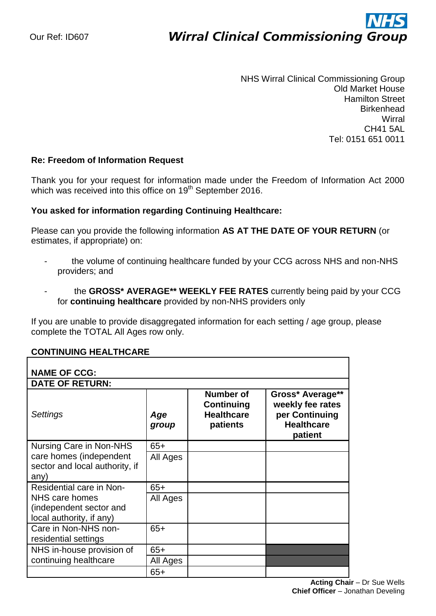# ì **Wirral Clinical Commissioning Group**

NHS Wirral Clinical Commissioning Group Old Market House Hamilton Street **Birkenhead Wirral** CH41 5AL Tel: 0151 651 0011

## **Re: Freedom of Information Request**

Thank you for your request for information made under the Freedom of Information Act 2000 which was received into this office on 19<sup>th</sup> September 2016.

### **You asked for information regarding Continuing Healthcare:**

Please can you provide the following information **AS AT THE DATE OF YOUR RETURN** (or estimates, if appropriate) on:

- the volume of continuing healthcare funded by your CCG across NHS and non-NHS providers; and
- the **GROSS\* AVERAGE\*\* WEEKLY FEE RATES** currently being paid by your CCG for **continuing healthcare** provided by non-NHS providers only

If you are unable to provide disaggregated information for each setting / age group, please complete the TOTAL All Ages row only.

### **CONTINUING HEALTHCARE**

| <b>NAME OF CCG:</b><br><b>DATE OF RETURN:</b>                                                     |              |                                                                 |                                                                                        |  |  |
|---------------------------------------------------------------------------------------------------|--------------|-----------------------------------------------------------------|----------------------------------------------------------------------------------------|--|--|
| Settings                                                                                          | Age<br>group | <b>Number of</b><br>Continuing<br><b>Healthcare</b><br>patients | Gross* Average**<br>weekly fee rates<br>per Continuing<br><b>Healthcare</b><br>patient |  |  |
| Nursing Care in Non-NHS<br>care homes (independent<br>sector and local authority, if<br>any)      | $65+$        |                                                                 |                                                                                        |  |  |
|                                                                                                   | All Ages     |                                                                 |                                                                                        |  |  |
| Residential care in Non-<br>NHS care homes<br>(independent sector and<br>local authority, if any) | $65+$        |                                                                 |                                                                                        |  |  |
|                                                                                                   | All Ages     |                                                                 |                                                                                        |  |  |
| Care in Non-NHS non-<br>residential settings                                                      | $65+$        |                                                                 |                                                                                        |  |  |
| NHS in-house provision of<br>continuing healthcare                                                | $65+$        |                                                                 |                                                                                        |  |  |
|                                                                                                   | All Ages     |                                                                 |                                                                                        |  |  |
|                                                                                                   | $65+$        |                                                                 |                                                                                        |  |  |